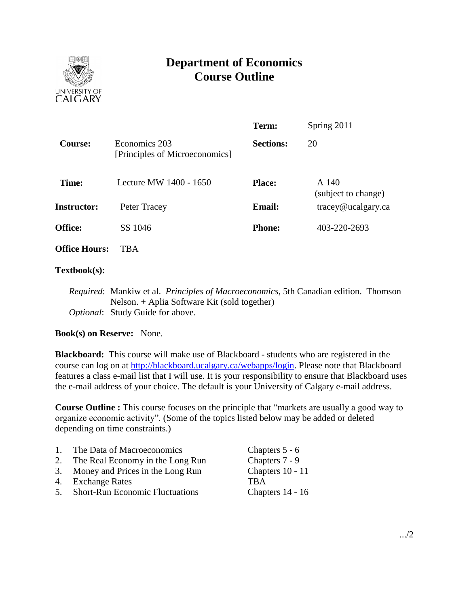

# **Department of Economics Course Outline**

|                      |                                                 | Term:            | Spring 2011                   |
|----------------------|-------------------------------------------------|------------------|-------------------------------|
| Course:              | Economics 203<br>[Principles of Microeconomics] | <b>Sections:</b> | 20                            |
| Time:                | Lecture MW 1400 - 1650                          | <b>Place:</b>    | A 140<br>(subject to change)  |
| <b>Instructor:</b>   | Peter Tracey                                    | <b>Email:</b>    | $trace\$ <i>e</i> ucalgary.ca |
| <b>Office:</b>       | SS 1046                                         | <b>Phone:</b>    | 403-220-2693                  |
| <b>Office Hours:</b> | TBA                                             |                  |                               |

## **Textbook(s):**

*Required*: Mankiw et al. *Principles of Macroeconomics*, 5th Canadian edition. Thomson Nelson. + Aplia Software Kit (sold together) *Optional*: Study Guide for above.

# **Book(s) on Reserve:** None.

**Blackboard:** This course will make use of Blackboard - students who are registered in the course can log on at [http://blackboard.ucalgary.ca/webapps/login.](http://blackboard.ucalgary.ca/webapps/login) Please note that Blackboard features a class e-mail list that I will use. It is your responsibility to ensure that Blackboard uses the e-mail address of your choice. The default is your University of Calgary e-mail address.

**Course Outline :** This course focuses on the principle that "markets are usually a good way to organize economic activity". (Some of the topics listed below may be added or deleted depending on time constraints.)

| $\overline{1}$ . | The Data of Macroeconomics             | Chapters 5 - 6   |
|------------------|----------------------------------------|------------------|
| 2.               | The Real Economy in the Long Run       | Chapters 7 - 9   |
|                  | 3. Money and Prices in the Long Run    | Chapters 10 - 11 |
|                  | 4. Exchange Rates                      | <b>TRA</b>       |
| 5 <sub>1</sub>   | <b>Short-Run Economic Fluctuations</b> | Chapters 14 - 16 |
|                  |                                        |                  |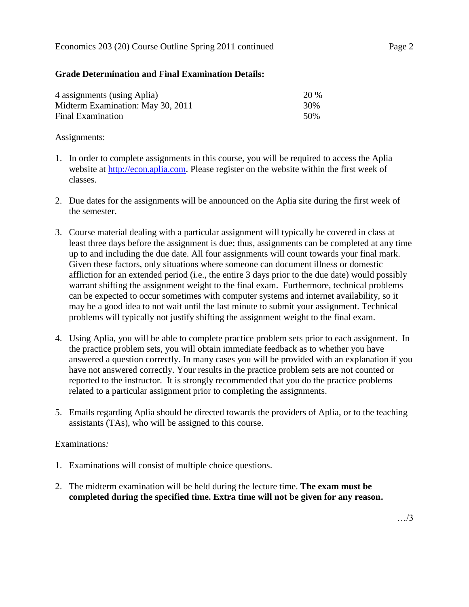#### Economics 203 (20) Course Outline Spring 2011 continued Page 2

## **Grade Determination and Final Examination Details:**

| 4 assignments (using Aplia)       | <b>20 %</b> |
|-----------------------------------|-------------|
| Midterm Examination: May 30, 2011 | 30%         |
| Final Examination                 | .50%        |

#### Assignments:

- 1. In order to complete assignments in this course, you will be required to access the Aplia website at [http://econ.aplia.com.](http://econ.aplia.com/) Please register on the website within the first week of classes.
- 2. Due dates for the assignments will be announced on the Aplia site during the first week of the semester.
- 3. Course material dealing with a particular assignment will typically be covered in class at least three days before the assignment is due; thus, assignments can be completed at any time up to and including the due date. All four assignments will count towards your final mark. Given these factors, only situations where someone can document illness or domestic affliction for an extended period (i.e., the entire 3 days prior to the due date) would possibly warrant shifting the assignment weight to the final exam. Furthermore, technical problems can be expected to occur sometimes with computer systems and internet availability, so it may be a good idea to not wait until the last minute to submit your assignment. Technical problems will typically not justify shifting the assignment weight to the final exam.
- 4. Using Aplia, you will be able to complete practice problem sets prior to each assignment. In the practice problem sets, you will obtain immediate feedback as to whether you have answered a question correctly. In many cases you will be provided with an explanation if you have not answered correctly. Your results in the practice problem sets are not counted or reported to the instructor. It is strongly recommended that you do the practice problems related to a particular assignment prior to completing the assignments.
- 5. Emails regarding Aplia should be directed towards the providers of Aplia, or to the teaching assistants (TAs), who will be assigned to this course.

#### Examinations*:*

- 1. Examinations will consist of multiple choice questions.
- 2. The midterm examination will be held during the lecture time. **The exam must be completed during the specified time. Extra time will not be given for any reason.**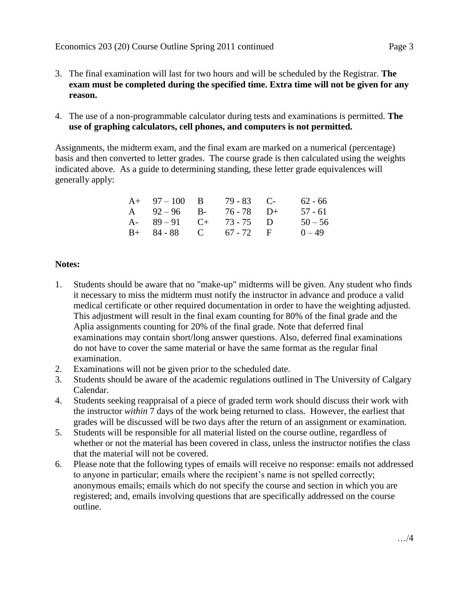- 3. The final examination will last for two hours and will be scheduled by the Registrar. **The exam must be completed during the specified time. Extra time will not be given for any reason.**
- 4. The use of a non-programmable calculator during tests and examinations is permitted. **The use of graphing calculators, cell phones, and computers is not permitted.**

Assignments, the midterm exam, and the final exam are marked on a numerical (percentage) basis and then converted to letter grades. The course grade is then calculated using the weights indicated above. As a guide to determining standing, these letter grade equivalences will generally apply:

| $A+ 97-100 B$          | $79 - 83$ C- | 62 - 66   |
|------------------------|--------------|-----------|
| A $92-96$ B-           | 76 - 78 D+   | 57 - 61   |
| A- $89-91$ C+ 73-75 D  |              | $50 - 56$ |
| $B+ 84-88$ C 67 - 72 F |              | $0 - 49$  |

## **Notes:**

- 1. Students should be aware that no "make-up" midterms will be given. Any student who finds it necessary to miss the midterm must notify the instructor in advance and produce a valid medical certificate or other required documentation in order to have the weighting adjusted. This adjustment will result in the final exam counting for 80% of the final grade and the Aplia assignments counting for 20% of the final grade. Note that deferred final examinations may contain short/long answer questions. Also, deferred final examinations do not have to cover the same material or have the same format as the regular final examination.
- 2. Examinations will not be given prior to the scheduled date.
- 3. Students should be aware of the academic regulations outlined in The University of Calgary Calendar.
- 4. Students seeking reappraisal of a piece of graded term work should discuss their work with the instructor *within* 7 days of the work being returned to class. However, the earliest that grades will be discussed will be two days after the return of an assignment or examination.
- 5. Students will be responsible for all material listed on the course outline, regardless of whether or not the material has been covered in class, unless the instructor notifies the class that the material will not be covered.
- 6. Please note that the following types of emails will receive no response: emails not addressed to anyone in particular; emails where the recipient's name is not spelled correctly; anonymous emails; emails which do not specify the course and section in which you are registered; and, emails involving questions that are specifically addressed on the course outline.